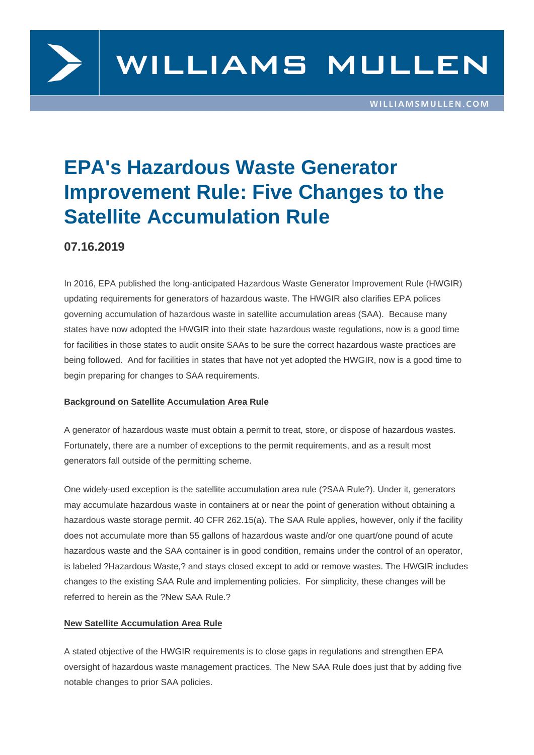

# **EPA's Hazardous Waste Generator Improvement Rule: Five Changes to the Satellite Accumulation Rule**

# **07.16.2019**

In 2016, EPA published the long-anticipated Hazardous Waste Generator Improvement Rule (HWGIR) updating requirements for generators of hazardous waste. The HWGIR also clarifies EPA polices governing accumulation of hazardous waste in satellite accumulation areas (SAA). Because many states have now adopted the HWGIR into their state hazardous waste regulations, now is a good time for facilities in those states to audit onsite SAAs to be sure the correct hazardous waste practices are being followed. And for facilities in states that have not yet adopted the HWGIR, now is a good time to begin preparing for changes to SAA requirements.

## **Background on Satellite Accumulation Area Rule**

A generator of hazardous waste must obtain a permit to treat, store, or dispose of hazardous wastes. Fortunately, there are a number of exceptions to the permit requirements, and as a result most generators fall outside of the permitting scheme.

One widely-used exception is the satellite accumulation area rule (?SAA Rule?). Under it, generators may accumulate hazardous waste in containers at or near the point of generation without obtaining a hazardous waste storage permit. 40 CFR 262.15(a). The SAA Rule applies, however, only if the facility does not accumulate more than 55 gallons of hazardous waste and/or one quart/one pound of acute hazardous waste and the SAA container is in good condition, remains under the control of an operator, is labeled ?Hazardous Waste,? and stays closed except to add or remove wastes. The HWGIR includes changes to the existing SAA Rule and implementing policies. For simplicity, these changes will be referred to herein as the ?New SAA Rule.?

## **New Satellite Accumulation Area Rule**

A stated objective of the HWGIR requirements is to close gaps in regulations and strengthen EPA oversight of hazardous waste management practices. The New SAA Rule does just that by adding five notable changes to prior SAA policies.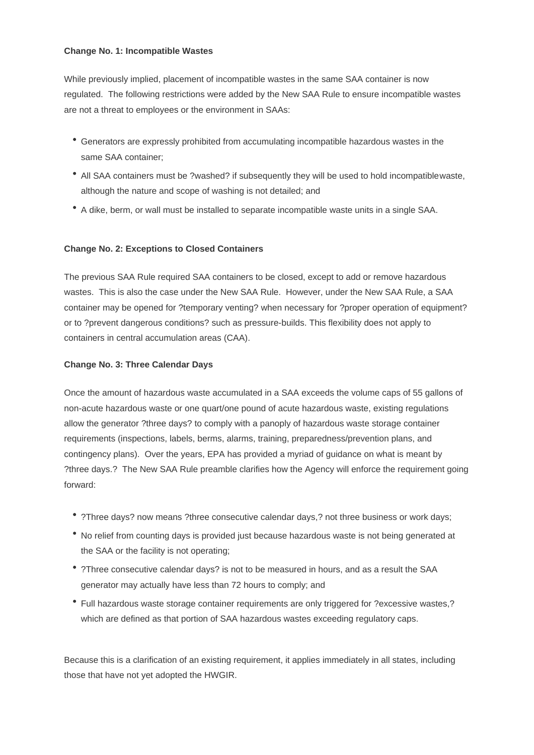#### **Change No. 1: Incompatible Wastes**

While previously implied, placement of incompatible wastes in the same SAA container is now regulated. The following restrictions were added by the New SAA Rule to ensure incompatible wastes are not a threat to employees or the environment in SAAs:

- Generators are expressly prohibited from accumulating incompatible hazardous wastes in the same SAA container;
- All SAA containers must be ?washed? if subsequently they will be used to hold incompatible waste, although the nature and scope of washing is not detailed; and
- A dike, berm, or wall must be installed to separate incompatible waste units in a single SAA.

## **Change No. 2: Exceptions to Closed Containers**

The previous SAA Rule required SAA containers to be closed, except to add or remove hazardous wastes. This is also the case under the New SAA Rule. However, under the New SAA Rule, a SAA container may be opened for ?temporary venting? when necessary for ?proper operation of equipment? or to ?prevent dangerous conditions? such as pressure-builds. This flexibility does not apply to containers in central accumulation areas (CAA).

## **Change No. 3: Three Calendar Days**

Once the amount of hazardous waste accumulated in a SAA exceeds the volume caps of 55 gallons of non-acute hazardous waste or one quart/one pound of acute hazardous waste, existing regulations allow the generator ?three days? to comply with a panoply of hazardous waste storage container requirements (inspections, labels, berms, alarms, training, preparedness/prevention plans, and contingency plans). Over the years, EPA has provided a myriad of guidance on what is meant by ?three days.? The New SAA Rule preamble clarifies how the Agency will enforce the requirement going forward:

- ?Three days? now means ?three consecutive calendar days,? not three business or work days;
- No relief from counting days is provided just because hazardous waste is not being generated at the SAA or the facility is not operating;
- ?Three consecutive calendar days? is not to be measured in hours, and as a result the SAA generator may actually have less than 72 hours to comply; and
- Full hazardous waste storage container requirements are only triggered for ?excessive wastes,? which are defined as that portion of SAA hazardous wastes exceeding regulatory caps.

Because this is a clarification of an existing requirement, it applies immediately in all states, including those that have not yet adopted the HWGIR.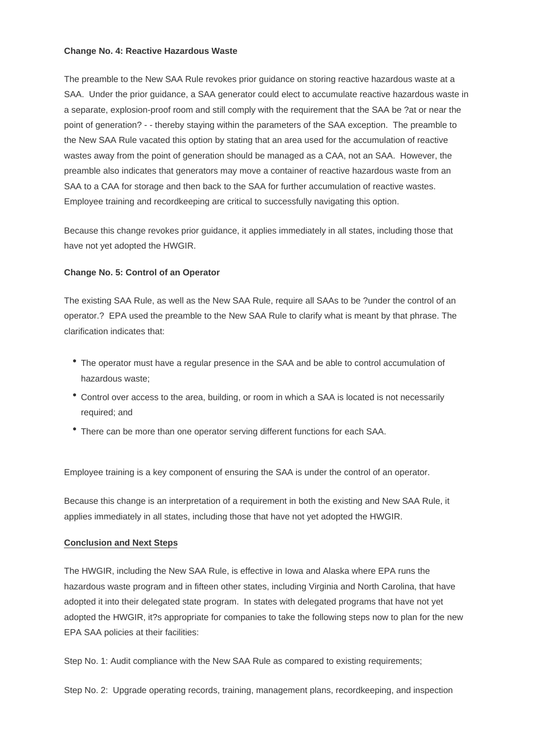#### **Change No. 4: Reactive Hazardous Waste**

The preamble to the New SAA Rule revokes prior guidance on storing reactive hazardous waste at a SAA. Under the prior guidance, a SAA generator could elect to accumulate reactive hazardous waste in a separate, explosion-proof room and still comply with the requirement that the SAA be ?at or near the point of generation? - - thereby staying within the parameters of the SAA exception. The preamble to the New SAA Rule vacated this option by stating that an area used for the accumulation of reactive wastes away from the point of generation should be managed as a CAA, not an SAA. However, the preamble also indicates that generators may move a container of reactive hazardous waste from an SAA to a CAA for storage and then back to the SAA for further accumulation of reactive wastes. Employee training and recordkeeping are critical to successfully navigating this option.

Because this change revokes prior guidance, it applies immediately in all states, including those that have not yet adopted the HWGIR.

#### **Change No. 5: Control of an Operator**

The existing SAA Rule, as well as the New SAA Rule, require all SAAs to be ?under the control of an operator.? EPA used the preamble to the New SAA Rule to clarify what is meant by that phrase. The clarification indicates that:

- The operator must have a regular presence in the SAA and be able to control accumulation of hazardous waste;
- Control over access to the area, building, or room in which a SAA is located is not necessarily required; and
- There can be more than one operator serving different functions for each SAA.

Employee training is a key component of ensuring the SAA is under the control of an operator.

Because this change is an interpretation of a requirement in both the existing and New SAA Rule, it applies immediately in all states, including those that have not yet adopted the HWGIR.

#### **Conclusion and Next Steps**

The HWGIR, including the New SAA Rule, is effective in Iowa and Alaska where EPA runs the hazardous waste program and in fifteen other states, including Virginia and North Carolina, that have adopted it into their delegated state program. In states with delegated programs that have not yet adopted the HWGIR, it?s appropriate for companies to take the following steps now to plan for the new EPA SAA policies at their facilities:

Step No. 1: Audit compliance with the New SAA Rule as compared to existing requirements;

Step No. 2: Upgrade operating records, training, management plans, recordkeeping, and inspection